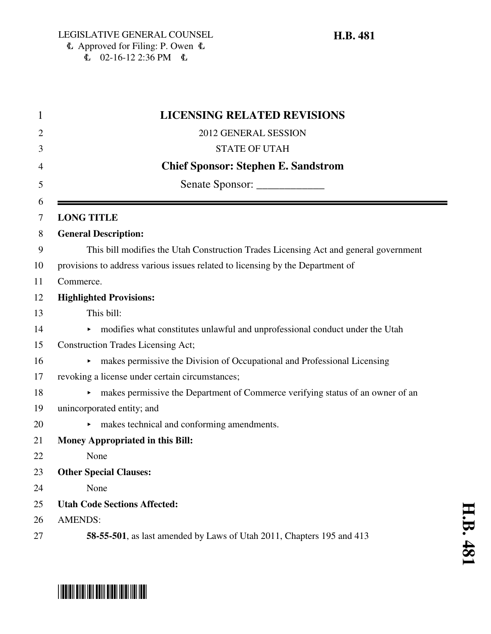$\overline{6}$  02-16-12 2:36 PM  $\overline{6}$ 

|                | <b>LICENSING RELATED REVISIONS</b>                                                   |
|----------------|--------------------------------------------------------------------------------------|
|                | 2012 GENERAL SESSION                                                                 |
|                | <b>STATE OF UTAH</b>                                                                 |
|                | <b>Chief Sponsor: Stephen E. Sandstrom</b>                                           |
|                | Senate Sponsor: ______________                                                       |
|                | <b>LONG TITLE</b>                                                                    |
|                | <b>General Description:</b>                                                          |
|                | This bill modifies the Utah Construction Trades Licensing Act and general government |
|                | provisions to address various issues related to licensing by the Department of       |
| Commerce.      |                                                                                      |
|                | <b>Highlighted Provisions:</b>                                                       |
|                | This bill:                                                                           |
|                | • modifies what constitutes unlawful and unprofessional conduct under the Utah       |
|                | <b>Construction Trades Licensing Act;</b>                                            |
|                | makes permissive the Division of Occupational and Professional Licensing<br>▶.       |
|                | revoking a license under certain circumstances;                                      |
|                | makes permissive the Department of Commerce verifying status of an owner of an       |
|                | unincorporated entity; and                                                           |
|                | makes technical and conforming amendments.                                           |
|                | <b>Money Appropriated in this Bill:</b>                                              |
|                | None                                                                                 |
|                | <b>Other Special Clauses:</b>                                                        |
|                | None                                                                                 |
|                | <b>Utah Code Sections Affected:</b>                                                  |
| <b>AMENDS:</b> |                                                                                      |
|                | 58-55-501, as last amended by Laws of Utah 2011, Chapters 195 and 413                |

# \*HB0481\*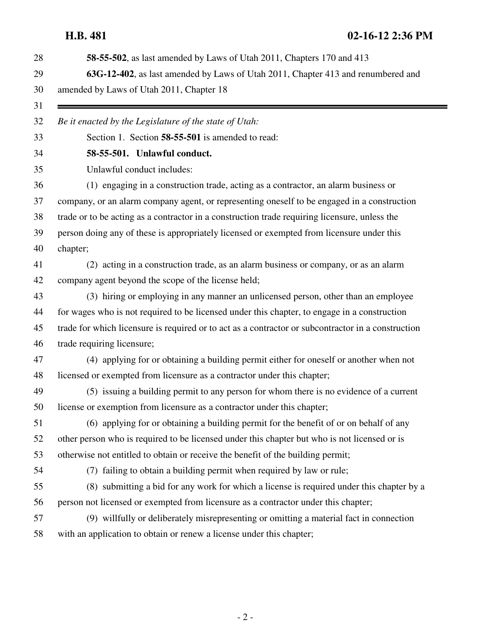| 28 | 58-55-502, as last amended by Laws of Utah 2011, Chapters 170 and 413                              |
|----|----------------------------------------------------------------------------------------------------|
| 29 | 63G-12-402, as last amended by Laws of Utah 2011, Chapter 413 and renumbered and                   |
| 30 | amended by Laws of Utah 2011, Chapter 18                                                           |
| 31 |                                                                                                    |
| 32 | Be it enacted by the Legislature of the state of Utah:                                             |
| 33 | Section 1. Section 58-55-501 is amended to read:                                                   |
| 34 | 58-55-501. Unlawful conduct.                                                                       |
| 35 | Unlawful conduct includes:                                                                         |
| 36 | (1) engaging in a construction trade, acting as a contractor, an alarm business or                 |
| 37 | company, or an alarm company agent, or representing oneself to be engaged in a construction        |
| 38 | trade or to be acting as a contractor in a construction trade requiring licensure, unless the      |
| 39 | person doing any of these is appropriately licensed or exempted from licensure under this          |
| 40 | chapter;                                                                                           |
| 41 | (2) acting in a construction trade, as an alarm business or company, or as an alarm                |
| 42 | company agent beyond the scope of the license held;                                                |
| 43 | (3) hiring or employing in any manner an unlicensed person, other than an employee                 |
| 44 | for wages who is not required to be licensed under this chapter, to engage in a construction       |
| 45 | trade for which licensure is required or to act as a contractor or subcontractor in a construction |
| 46 | trade requiring licensure;                                                                         |
| 47 | (4) applying for or obtaining a building permit either for oneself or another when not             |
| 48 | licensed or exempted from licensure as a contractor under this chapter;                            |
| 49 | (5) issuing a building permit to any person for whom there is no evidence of a current             |
| 50 | license or exemption from licensure as a contractor under this chapter;                            |
| 51 | (6) applying for or obtaining a building permit for the benefit of or on behalf of any             |
| 52 | other person who is required to be licensed under this chapter but who is not licensed or is       |
| 53 | otherwise not entitled to obtain or receive the benefit of the building permit;                    |
| 54 | (7) failing to obtain a building permit when required by law or rule;                              |
| 55 | (8) submitting a bid for any work for which a license is required under this chapter by a          |
| 56 | person not licensed or exempted from licensure as a contractor under this chapter;                 |
| 57 | (9) willfully or deliberately misrepresenting or omitting a material fact in connection            |
| 58 | with an application to obtain or renew a license under this chapter;                               |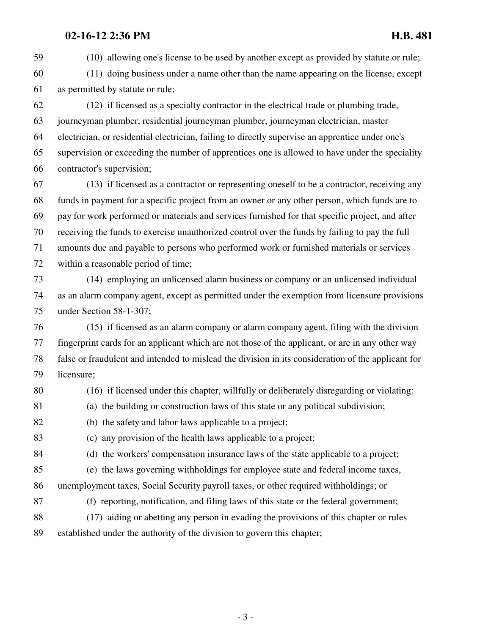59 (10) allowing one's license to be used by another except as provided by statute or rule;

60 (11) doing business under a name other than the name appearing on the license, except 61 as permitted by statute or rule;

62 (12) if licensed as a specialty contractor in the electrical trade or plumbing trade, 63 journeyman plumber, residential journeyman plumber, journeyman electrician, master 64 electrician, or residential electrician, failing to directly supervise an apprentice under one's 65 supervision or exceeding the number of apprentices one is allowed to have under the speciality 66 contractor's supervision;

67 (13) if licensed as a contractor or representing oneself to be a contractor, receiving any 68 funds in payment for a specific project from an owner or any other person, which funds are to 69 pay for work performed or materials and services furnished for that specific project, and after 70 receiving the funds to exercise unauthorized control over the funds by failing to pay the full 71 amounts due and payable to persons who performed work or furnished materials or services 72 within a reasonable period of time;

73 (14) employing an unlicensed alarm business or company or an unlicensed individual 74 as an alarm company agent, except as permitted under the exemption from licensure provisions 75 under Section 58-1-307;

76 (15) if licensed as an alarm company or alarm company agent, filing with the division 77 fingerprint cards for an applicant which are not those of the applicant, or are in any other way 78 false or fraudulent and intended to mislead the division in its consideration of the applicant for 79 licensure;

- 80 (16) if licensed under this chapter, willfully or deliberately disregarding or violating:
- 81 (a) the building or construction laws of this state or any political subdivision;

82 (b) the safety and labor laws applicable to a project;

83 (c) any provision of the health laws applicable to a project;

84 (d) the workers' compensation insurance laws of the state applicable to a project;

85 (e) the laws governing withholdings for employee state and federal income taxes, 86 unemployment taxes, Social Security payroll taxes, or other required withholdings; or

87 (f) reporting, notification, and filing laws of this state or the federal government;

88 (17) aiding or abetting any person in evading the provisions of this chapter or rules 89 established under the authority of the division to govern this chapter;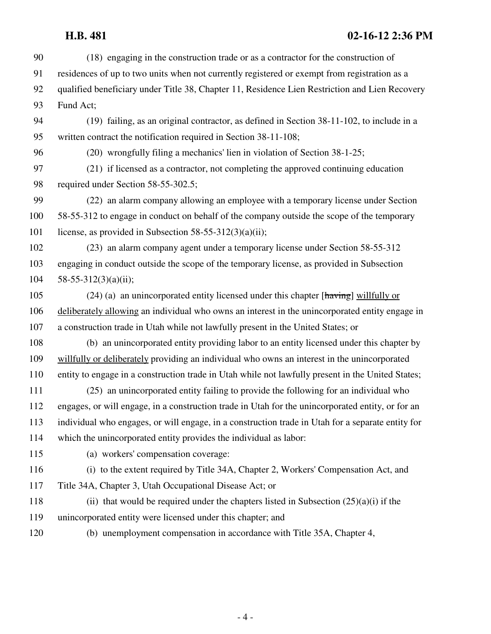| 90  | (18) engaging in the construction trade or as a contractor for the construction of                       |
|-----|----------------------------------------------------------------------------------------------------------|
| 91  | residences of up to two units when not currently registered or exempt from registration as a             |
| 92  | qualified beneficiary under Title 38, Chapter 11, Residence Lien Restriction and Lien Recovery           |
| 93  | Fund Act;                                                                                                |
| 94  | (19) failing, as an original contractor, as defined in Section 38-11-102, to include in a                |
| 95  | written contract the notification required in Section 38-11-108;                                         |
| 96  | (20) wrongfully filing a mechanics' lien in violation of Section 38-1-25;                                |
| 97  | (21) if licensed as a contractor, not completing the approved continuing education                       |
| 98  | required under Section 58-55-302.5;                                                                      |
| 99  | (22) an alarm company allowing an employee with a temporary license under Section                        |
| 100 | 58-55-312 to engage in conduct on behalf of the company outside the scope of the temporary               |
| 101 | license, as provided in Subsection 58-55-312(3)(a)(ii);                                                  |
| 102 | (23) an alarm company agent under a temporary license under Section 58-55-312                            |
| 103 | engaging in conduct outside the scope of the temporary license, as provided in Subsection                |
| 104 | 58-55-312(3)(a)(ii);                                                                                     |
| 105 | $(24)$ (a) an unincorporated entity licensed under this chapter [ $\frac{hawing}{hawing}$ ] willfully or |
| 106 | deliberately allowing an individual who owns an interest in the unincorporated entity engage in          |
| 107 | a construction trade in Utah while not lawfully present in the United States; or                         |
| 108 | (b) an unincorporated entity providing labor to an entity licensed under this chapter by                 |
| 109 | willfully or deliberately providing an individual who owns an interest in the unincorporated             |
| 110 | entity to engage in a construction trade in Utah while not lawfully present in the United States;        |
| 111 | (25) an unincorporated entity failing to provide the following for an individual who                     |
| 112 | engages, or will engage, in a construction trade in Utah for the unincorporated entity, or for an        |
| 113 | individual who engages, or will engage, in a construction trade in Utah for a separate entity for        |
| 114 | which the unincorporated entity provides the individual as labor:                                        |
| 115 | (a) workers' compensation coverage:                                                                      |
| 116 | (i) to the extent required by Title 34A, Chapter 2, Workers' Compensation Act, and                       |
| 117 | Title 34A, Chapter 3, Utah Occupational Disease Act; or                                                  |
| 118 | (ii) that would be required under the chapters listed in Subsection $(25)(a)(i)$ if the                  |
| 119 | unincorporated entity were licensed under this chapter; and                                              |
| 120 | (b) unemployment compensation in accordance with Title 35A, Chapter 4,                                   |
|     |                                                                                                          |

- 4 -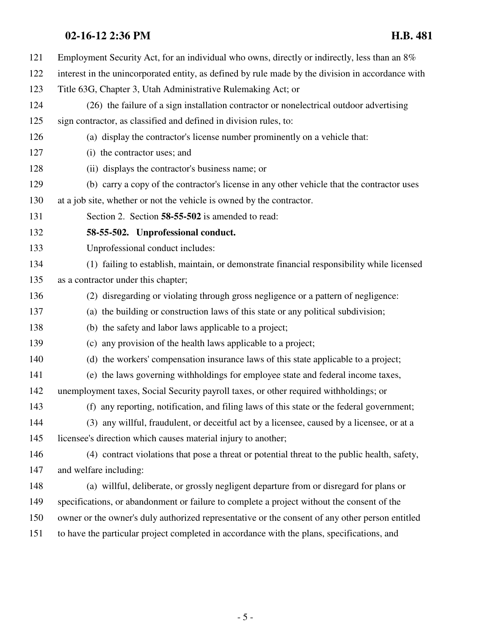- 121 Employment Security Act, for an individual who owns, directly or indirectly, less than an 8%
- 122 interest in the unincorporated entity, as defined by rule made by the division in accordance with
- 123 Title 63G, Chapter 3, Utah Administrative Rulemaking Act; or
- 124 (26) the failure of a sign installation contractor or nonelectrical outdoor advertising 125 sign contractor, as classified and defined in division rules, to:
- 126 (a) display the contractor's license number prominently on a vehicle that:
- 127 (i) the contractor uses; and
- 128 (ii) displays the contractor's business name; or
- 129 (b) carry a copy of the contractor's license in any other vehicle that the contractor uses
- 130 at a job site, whether or not the vehicle is owned by the contractor.
- 131 Section 2. Section **58-55-502** is amended to read:
- 132 **58-55-502. Unprofessional conduct.**
- 133 Unprofessional conduct includes:
- 134 (1) failing to establish, maintain, or demonstrate financial responsibility while licensed 135 as a contractor under this chapter;
- 136 (2) disregarding or violating through gross negligence or a pattern of negligence:
- 137 (a) the building or construction laws of this state or any political subdivision;
- 138 (b) the safety and labor laws applicable to a project;
- 139 (c) any provision of the health laws applicable to a project;
- 140 (d) the workers' compensation insurance laws of this state applicable to a project;
- 141 (e) the laws governing withholdings for employee state and federal income taxes,
- 142 unemployment taxes, Social Security payroll taxes, or other required withholdings; or
- 143 (f) any reporting, notification, and filing laws of this state or the federal government;
- 144 (3) any willful, fraudulent, or deceitful act by a licensee, caused by a licensee, or at a 145 licensee's direction which causes material injury to another;
- 146 (4) contract violations that pose a threat or potential threat to the public health, safety, 147 and welfare including:
- 148 (a) willful, deliberate, or grossly negligent departure from or disregard for plans or 149 specifications, or abandonment or failure to complete a project without the consent of the 150 owner or the owner's duly authorized representative or the consent of any other person entitled 151 to have the particular project completed in accordance with the plans, specifications, and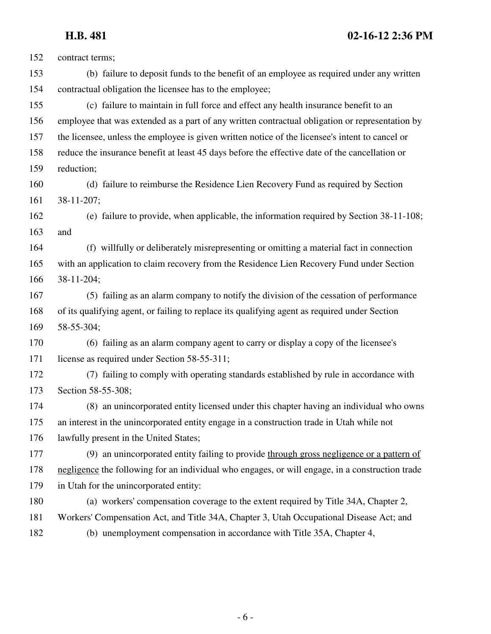| 152 | contract terms;                                                                                 |
|-----|-------------------------------------------------------------------------------------------------|
| 153 | (b) failure to deposit funds to the benefit of an employee as required under any written        |
| 154 | contractual obligation the licensee has to the employee;                                        |
| 155 | (c) failure to maintain in full force and effect any health insurance benefit to an             |
| 156 | employee that was extended as a part of any written contractual obligation or representation by |
| 157 | the licensee, unless the employee is given written notice of the licensee's intent to cancel or |
| 158 | reduce the insurance benefit at least 45 days before the effective date of the cancellation or  |
| 159 | reduction;                                                                                      |
| 160 | (d) failure to reimburse the Residence Lien Recovery Fund as required by Section                |
| 161 | 38-11-207;                                                                                      |
| 162 | (e) failure to provide, when applicable, the information required by Section 38-11-108;         |
| 163 | and                                                                                             |
| 164 | (f) willfully or deliberately misrepresenting or omitting a material fact in connection         |
| 165 | with an application to claim recovery from the Residence Lien Recovery Fund under Section       |
| 166 | 38-11-204;                                                                                      |
| 167 | (5) failing as an alarm company to notify the division of the cessation of performance          |
| 168 | of its qualifying agent, or failing to replace its qualifying agent as required under Section   |
| 169 | 58-55-304;                                                                                      |
| 170 | (6) failing as an alarm company agent to carry or display a copy of the licensee's              |
| 171 | license as required under Section 58-55-311;                                                    |
| 172 | (7) failing to comply with operating standards established by rule in accordance with           |
| 173 | Section 58-55-308;                                                                              |
| 174 | (8) an unincorporated entity licensed under this chapter having an individual who owns          |
| 175 | an interest in the unincorporated entity engage in a construction trade in Utah while not       |
| 176 | lawfully present in the United States;                                                          |
| 177 | (9) an unincorporated entity failing to provide through gross negligence or a pattern of        |
| 178 | negligence the following for an individual who engages, or will engage, in a construction trade |
| 179 | in Utah for the unincorporated entity:                                                          |
| 180 | (a) workers' compensation coverage to the extent required by Title 34A, Chapter 2,              |
| 181 | Workers' Compensation Act, and Title 34A, Chapter 3, Utah Occupational Disease Act; and         |
| 182 | (b) unemployment compensation in accordance with Title 35A, Chapter 4,                          |
|     |                                                                                                 |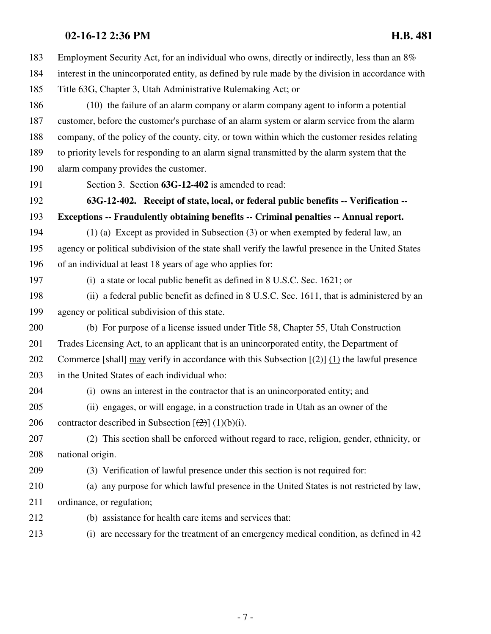183 Employment Security Act, for an individual who owns, directly or indirectly, less than an 8% 184 interest in the unincorporated entity, as defined by rule made by the division in accordance with 185 Title 63G, Chapter 3, Utah Administrative Rulemaking Act; or 186 (10) the failure of an alarm company or alarm company agent to inform a potential 187 customer, before the customer's purchase of an alarm system or alarm service from the alarm 188 company, of the policy of the county, city, or town within which the customer resides relating 189 to priority levels for responding to an alarm signal transmitted by the alarm system that the 190 alarm company provides the customer. 191 Section 3. Section **63G-12-402** is amended to read: 192 **63G-12-402. Receipt of state, local, or federal public benefits -- Verification --** 193 **Exceptions -- Fraudulently obtaining benefits -- Criminal penalties -- Annual report.** 194 (1) (a) Except as provided in Subsection (3) or when exempted by federal law, an 195 agency or political subdivision of the state shall verify the lawful presence in the United States 196 of an individual at least 18 years of age who applies for: 197 (i) a state or local public benefit as defined in 8 U.S.C. Sec. 1621; or 198 (ii) a federal public benefit as defined in 8 U.S.C. Sec. 1611, that is administered by an 199 agency or political subdivision of this state. 200 (b) For purpose of a license issued under Title 58, Chapter 55, Utah Construction 201 Trades Licensing Act, to an applicant that is an unincorporated entity, the Department of 202 Commerce [shall] may verify in accordance with this Subsection  $\left[\frac{1}{2}\right]$  (1) the lawful presence 203 in the United States of each individual who: 204 (i) owns an interest in the contractor that is an unincorporated entity; and 205 (ii) engages, or will engage, in a construction trade in Utah as an owner of the 206 contractor described in Subsection  $[\frac{1}{2}] (1)(b)(i)$ . 207 (2) This section shall be enforced without regard to race, religion, gender, ethnicity, or 208 national origin. 209 (3) Verification of lawful presence under this section is not required for: 210 (a) any purpose for which lawful presence in the United States is not restricted by law, 211 ordinance, or regulation; 212 (b) assistance for health care items and services that: 213 (i) are necessary for the treatment of an emergency medical condition, as defined in 42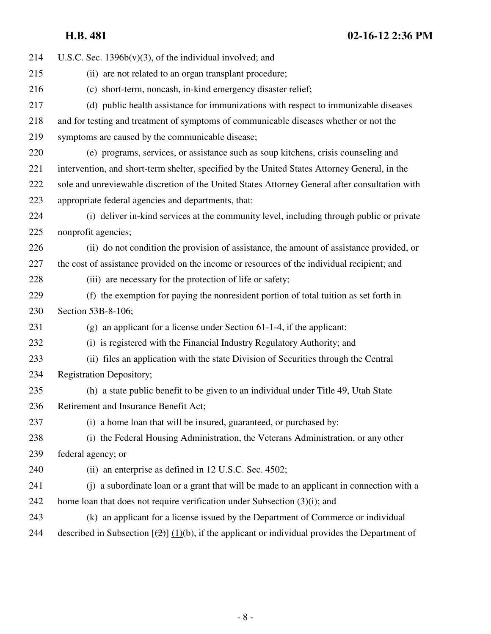| 214 | U.S.C. Sec. $1396b(v)(3)$ , of the individual involved; and                                               |
|-----|-----------------------------------------------------------------------------------------------------------|
| 215 | (ii) are not related to an organ transplant procedure;                                                    |
| 216 | (c) short-term, noncash, in-kind emergency disaster relief;                                               |
| 217 | (d) public health assistance for immunizations with respect to immunizable diseases                       |
| 218 | and for testing and treatment of symptoms of communicable diseases whether or not the                     |
| 219 | symptoms are caused by the communicable disease;                                                          |
| 220 | (e) programs, services, or assistance such as soup kitchens, crisis counseling and                        |
| 221 | intervention, and short-term shelter, specified by the United States Attorney General, in the             |
| 222 | sole and unreviewable discretion of the United States Attorney General after consultation with            |
| 223 | appropriate federal agencies and departments, that:                                                       |
| 224 | (i) deliver in-kind services at the community level, including through public or private                  |
| 225 | nonprofit agencies;                                                                                       |
| 226 | (ii) do not condition the provision of assistance, the amount of assistance provided, or                  |
| 227 | the cost of assistance provided on the income or resources of the individual recipient; and               |
| 228 | (iii) are necessary for the protection of life or safety;                                                 |
| 229 | (f) the exemption for paying the nonresident portion of total tuition as set forth in                     |
| 230 | Section 53B-8-106;                                                                                        |
| 231 | $(g)$ an applicant for a license under Section 61-1-4, if the applicant:                                  |
| 232 | (i) is registered with the Financial Industry Regulatory Authority; and                                   |
| 233 | (ii) files an application with the state Division of Securities through the Central                       |
| 234 | <b>Registration Depository;</b>                                                                           |
| 235 | (h) a state public benefit to be given to an individual under Title 49, Utah State                        |
| 236 | Retirement and Insurance Benefit Act;                                                                     |
| 237 | (i) a home loan that will be insured, guaranteed, or purchased by:                                        |
| 238 | (i) the Federal Housing Administration, the Veterans Administration, or any other                         |
| 239 | federal agency; or                                                                                        |
| 240 | (ii) an enterprise as defined in 12 U.S.C. Sec. 4502;                                                     |
| 241 | (j) a subordinate loan or a grant that will be made to an applicant in connection with a                  |
| 242 | home loan that does not require verification under Subsection (3)(i); and                                 |
| 243 | (k) an applicant for a license issued by the Department of Commerce or individual                         |
| 244 | described in Subsection $[\frac{2}{2}]$ (1)(b), if the applicant or individual provides the Department of |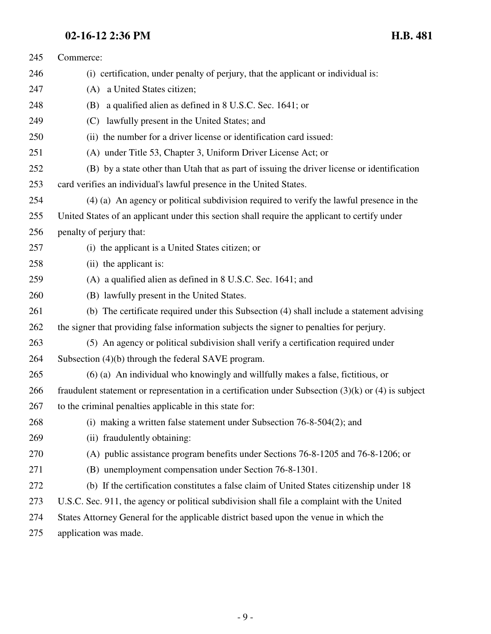| 245 | Commerce:                                                                                               |
|-----|---------------------------------------------------------------------------------------------------------|
| 246 | (i) certification, under penalty of perjury, that the applicant or individual is:                       |
| 247 | (A) a United States citizen;                                                                            |
| 248 | a qualified alien as defined in 8 U.S.C. Sec. 1641; or<br>(B)                                           |
| 249 | (C)<br>lawfully present in the United States; and                                                       |
| 250 | (ii) the number for a driver license or identification card issued:                                     |
| 251 | (A) under Title 53, Chapter 3, Uniform Driver License Act; or                                           |
| 252 | (B) by a state other than Utah that as part of issuing the driver license or identification             |
| 253 | card verifies an individual's lawful presence in the United States.                                     |
| 254 | (4) (a) An agency or political subdivision required to verify the lawful presence in the                |
| 255 | United States of an applicant under this section shall require the applicant to certify under           |
| 256 | penalty of perjury that:                                                                                |
| 257 | (i) the applicant is a United States citizen; or                                                        |
| 258 | (ii) the applicant is:                                                                                  |
| 259 | (A) a qualified alien as defined in 8 U.S.C. Sec. 1641; and                                             |
| 260 | (B) lawfully present in the United States.                                                              |
| 261 | (b) The certificate required under this Subsection (4) shall include a statement advising               |
| 262 | the signer that providing false information subjects the signer to penalties for perjury.               |
| 263 | (5) An agency or political subdivision shall verify a certification required under                      |
| 264 | Subsection (4)(b) through the federal SAVE program.                                                     |
| 265 | (6) (a) An individual who knowingly and willfully makes a false, fictitious, or                         |
| 266 | fraudulent statement or representation in a certification under Subsection $(3)(k)$ or $(4)$ is subject |
| 267 | to the criminal penalties applicable in this state for:                                                 |
| 268 | (i) making a written false statement under Subsection $76-8-504(2)$ ; and                               |
| 269 | (ii) fraudulently obtaining:                                                                            |
| 270 | (A) public assistance program benefits under Sections 76-8-1205 and 76-8-1206; or                       |
| 271 | (B) unemployment compensation under Section 76-8-1301.                                                  |
| 272 | (b) If the certification constitutes a false claim of United States citizenship under 18                |
| 273 | U.S.C. Sec. 911, the agency or political subdivision shall file a complaint with the United             |
| 274 | States Attorney General for the applicable district based upon the venue in which the                   |
| 275 | application was made.                                                                                   |